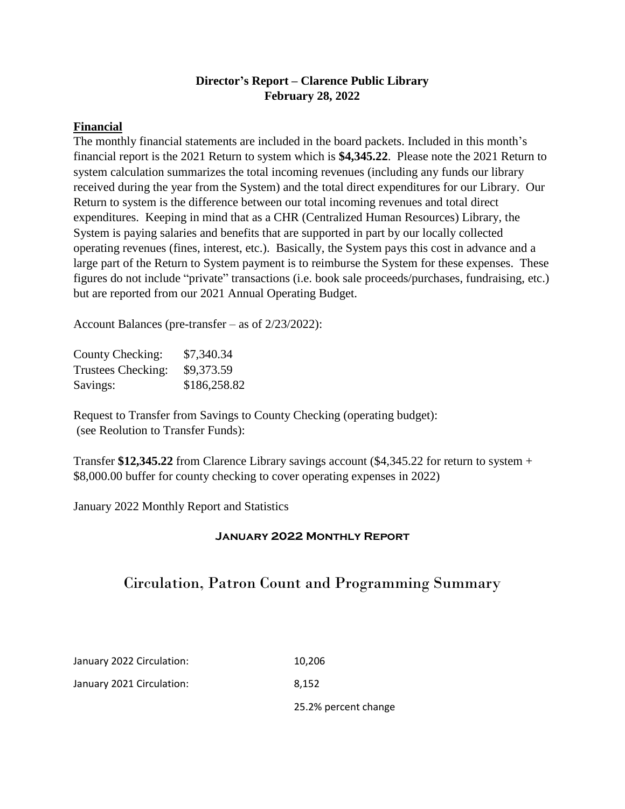# **Director's Report – Clarence Public Library February 28, 2022**

#### **Financial**

The monthly financial statements are included in the board packets. Included in this month's financial report is the 2021 Return to system which is **\$4,345.22**. Please note the 2021 Return to system calculation summarizes the total incoming revenues (including any funds our library received during the year from the System) and the total direct expenditures for our Library. Our Return to system is the difference between our total incoming revenues and total direct expenditures. Keeping in mind that as a CHR (Centralized Human Resources) Library, the System is paying salaries and benefits that are supported in part by our locally collected operating revenues (fines, interest, etc.). Basically, the System pays this cost in advance and a large part of the Return to System payment is to reimburse the System for these expenses. These figures do not include "private" transactions (i.e. book sale proceeds/purchases, fundraising, etc.) but are reported from our 2021 Annual Operating Budget.

Account Balances (pre-transfer – as of 2/23/2022):

| County Checking:   | \$7,340.34   |
|--------------------|--------------|
| Trustees Checking: | \$9,373.59   |
| Savings:           | \$186,258.82 |

Request to Transfer from Savings to County Checking (operating budget): (see Reolution to Transfer Funds):

Transfer **\$12,345.22** from Clarence Library savings account (\$4,345.22 for return to system + \$8,000.00 buffer for county checking to cover operating expenses in 2022)

January 2022 Monthly Report and Statistics

### **January 2022 Monthly Report**

# Circulation, Patron Count and Programming Summary

| January 2022 Circulation: | 10.206               |
|---------------------------|----------------------|
| January 2021 Circulation: | 8.152                |
|                           | 25.2% percent change |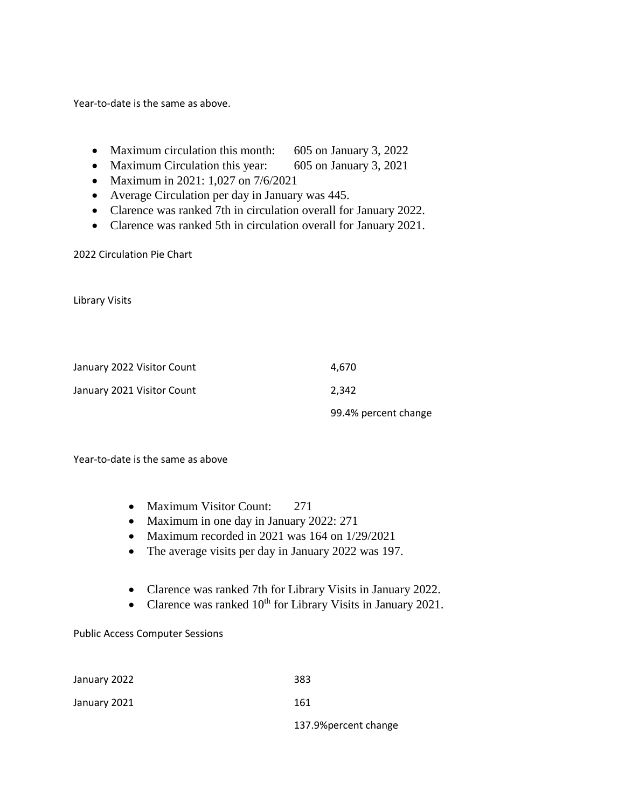Year-to-date is the same as above.

- Maximum circulation this month: 605 on January 3, 2022
- Maximum Circulation this year: 605 on January 3, 2021
- Maximum in 2021: 1,027 on 7/6/2021
- Average Circulation per day in January was 445.
- Clarence was ranked 7th in circulation overall for January 2022.
- Clarence was ranked 5th in circulation overall for January 2021.

2022 Circulation Pie Chart

Library Visits

| January 2022 Visitor Count | 4.670                |
|----------------------------|----------------------|
| January 2021 Visitor Count | 2.342                |
|                            | 99.4% percent change |

Year-to-date is the same as above

- Maximum Visitor Count: 271
- Maximum in one day in January 2022: 271
- Maximum recorded in 2021 was 164 on 1/29/2021
- The average visits per day in January 2022 was 197.
- Clarence was ranked 7th for Library Visits in January 2022.
- Clarence was ranked  $10^{th}$  for Library Visits in January 2021.

Public Access Computer Sessions

| January 2022 | 383               |
|--------------|-------------------|
| January 2021 | 161               |
|              | 4.27.01.1.1.1.1.1 |

137.9%percent change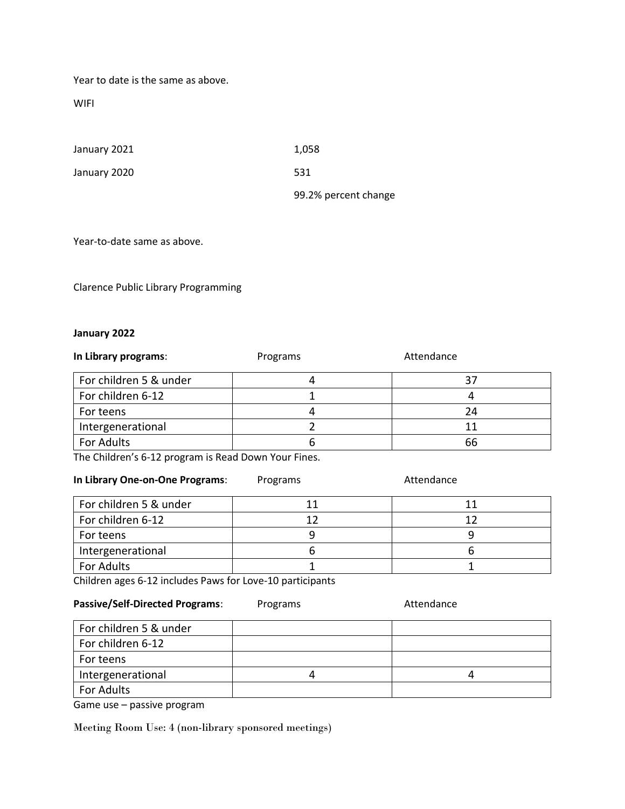Year to date is the same as above.

WIFI

| January 2021 | 1,058                |
|--------------|----------------------|
| January 2020 | 531                  |
|              | 99.2% percent change |

Year-to-date same as above.

Clarence Public Library Programming

#### **January 2022**

| In Library programs:   | Programs | Attendance |
|------------------------|----------|------------|
| For children 5 & under |          | 37         |
| For children 6-12      |          |            |
| For teens              |          | 24         |
| Intergenerational      |          | 11         |
| For Adults             |          | 66         |

The Children's 6-12 program is Read Down Your Fines.

| In Library One-on-One Programs: | Programs | Attendance |
|---------------------------------|----------|------------|
| For children 5 & under          | 11       | 11         |
| For children 6-12               | 12       | 12         |
| For teens                       |          |            |
| Intergenerational               |          |            |
| For Adults                      |          |            |

Children ages 6-12 includes Paws for Love-10 participants

Passive/Self-Directed Programs: Programs Attendance

| For children 5 & under |  |
|------------------------|--|
| For children 6-12      |  |
| For teens              |  |
| Intergenerational      |  |
| For Adults             |  |

Game use – passive program

Meeting Room Use: 4 (non-library sponsored meetings)